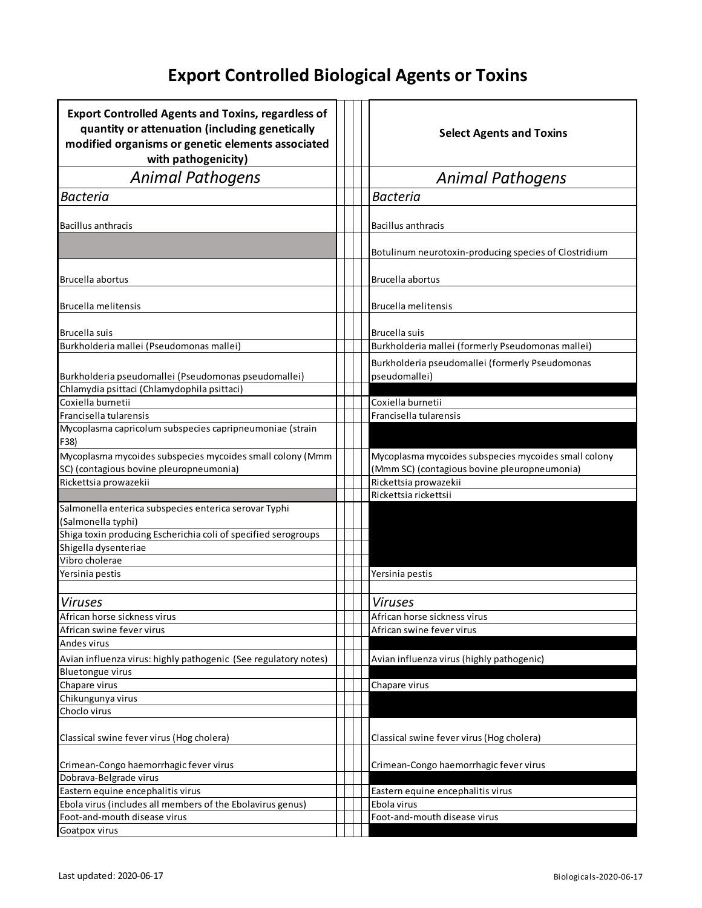## **Export Controlled Biological Agents or Toxins**

| <b>Export Controlled Agents and Toxins, regardless of</b><br>quantity or attenuation (including genetically<br>modified organisms or genetic elements associated<br>with pathogenicity) |  | <b>Select Agents and Toxins</b>                                  |
|-----------------------------------------------------------------------------------------------------------------------------------------------------------------------------------------|--|------------------------------------------------------------------|
| <b>Animal Pathogens</b>                                                                                                                                                                 |  | <b>Animal Pathogens</b>                                          |
| <b>Bacteria</b>                                                                                                                                                                         |  | <b>Bacteria</b>                                                  |
| <b>Bacillus anthracis</b>                                                                                                                                                               |  | <b>Bacillus anthracis</b>                                        |
|                                                                                                                                                                                         |  | Botulinum neurotoxin-producing species of Clostridium            |
| Brucella abortus                                                                                                                                                                        |  | Brucella abortus                                                 |
| Brucella melitensis                                                                                                                                                                     |  | <b>Brucella melitensis</b>                                       |
| Brucella suis                                                                                                                                                                           |  | Brucella suis                                                    |
| Burkholderia mallei (Pseudomonas mallei)                                                                                                                                                |  | Burkholderia mallei (formerly Pseudomonas mallei)                |
| Burkholderia pseudomallei (Pseudomonas pseudomallei)                                                                                                                                    |  | Burkholderia pseudomallei (formerly Pseudomonas<br>pseudomallei) |
| Chlamydia psittaci (Chlamydophila psittaci)                                                                                                                                             |  |                                                                  |
| Coxiella burnetii<br>Francisella tularensis                                                                                                                                             |  | Coxiella burnetii<br>Francisella tularensis                      |
| Mycoplasma capricolum subspecies capripneumoniae (strain                                                                                                                                |  |                                                                  |
| F38)                                                                                                                                                                                    |  |                                                                  |
| Mycoplasma mycoides subspecies mycoides small colony (Mmm                                                                                                                               |  | Mycoplasma mycoides subspecies mycoides small colony             |
| SC) (contagious bovine pleuropneumonia)                                                                                                                                                 |  | (Mmm SC) (contagious bovine pleuropneumonia)                     |
| Rickettsia prowazekii                                                                                                                                                                   |  | Rickettsia prowazekii                                            |
|                                                                                                                                                                                         |  | Rickettsia rickettsii                                            |
| Salmonella enterica subspecies enterica serovar Typhi<br>(Salmonella typhi)                                                                                                             |  |                                                                  |
| Shiga toxin producing Escherichia coli of specified serogroups                                                                                                                          |  |                                                                  |
| Shigella dysenteriae                                                                                                                                                                    |  |                                                                  |
| Vibro cholerae                                                                                                                                                                          |  |                                                                  |
| Yersinia pestis                                                                                                                                                                         |  | Yersinia pestis                                                  |
| Viruses                                                                                                                                                                                 |  | <b>Viruses</b>                                                   |
| African horse sickness virus                                                                                                                                                            |  | African horse sickness virus                                     |
| African swine fever virus                                                                                                                                                               |  | African swine fever virus                                        |
| Andes virus                                                                                                                                                                             |  |                                                                  |
| Avian influenza virus: highly pathogenic (See regulatory notes)                                                                                                                         |  | Avian influenza virus (highly pathogenic)                        |
| <b>Bluetongue virus</b>                                                                                                                                                                 |  |                                                                  |
| Chapare virus                                                                                                                                                                           |  | Chapare virus                                                    |
| Chikungunya virus                                                                                                                                                                       |  |                                                                  |
| Choclo virus                                                                                                                                                                            |  |                                                                  |
| Classical swine fever virus (Hog cholera)                                                                                                                                               |  | Classical swine fever virus (Hog cholera)                        |
| Crimean-Congo haemorrhagic fever virus                                                                                                                                                  |  | Crimean-Congo haemorrhagic fever virus                           |
| Dobrava-Belgrade virus                                                                                                                                                                  |  |                                                                  |
| Eastern equine encephalitis virus<br>Ebola virus (includes all members of the Ebolavirus genus)                                                                                         |  | Eastern equine encephalitis virus<br>Ebola virus                 |
| Foot-and-mouth disease virus                                                                                                                                                            |  | Foot-and-mouth disease virus                                     |
| Goatpox virus                                                                                                                                                                           |  |                                                                  |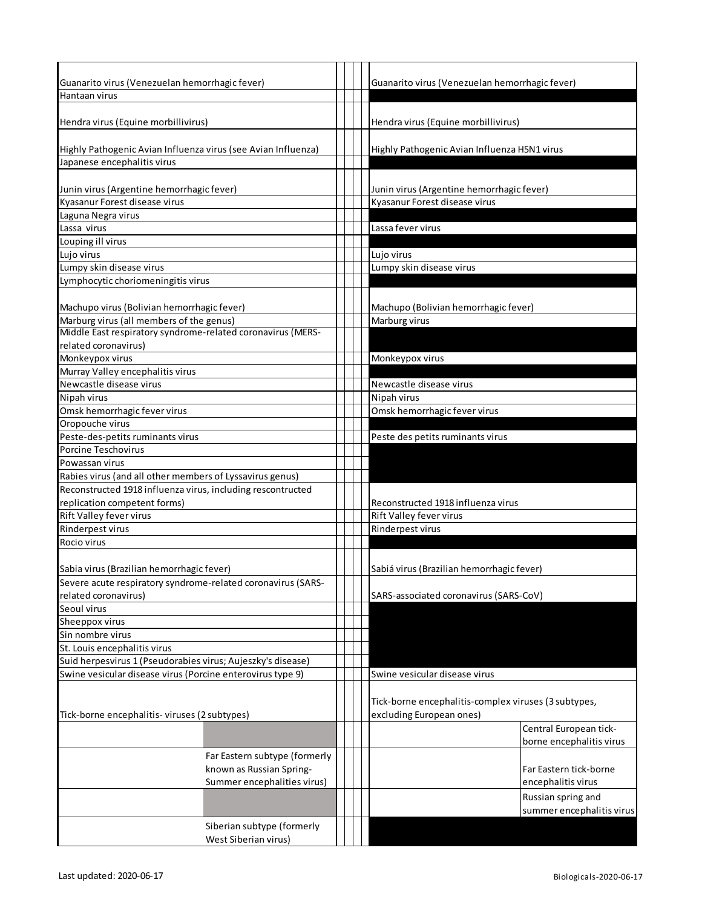| Guanarito virus (Venezuelan hemorrhagic fever)                |  | Guanarito virus (Venezuelan hemorrhagic fever)                                   |
|---------------------------------------------------------------|--|----------------------------------------------------------------------------------|
| Hantaan virus                                                 |  |                                                                                  |
| Hendra virus (Equine morbillivirus)                           |  | Hendra virus (Equine morbillivirus)                                              |
| Highly Pathogenic Avian Influenza virus (see Avian Influenza) |  | Highly Pathogenic Avian Influenza H5N1 virus                                     |
| Japanese encephalitis virus                                   |  |                                                                                  |
|                                                               |  |                                                                                  |
| Junin virus (Argentine hemorrhagic fever)                     |  | Junin virus (Argentine hemorrhagic fever)                                        |
| Kvasanur Forest disease virus                                 |  | Kyasanur Forest disease virus                                                    |
| Laguna Negra virus                                            |  |                                                                                  |
| Lassa virus                                                   |  | Lassa fever virus                                                                |
| Louping ill virus                                             |  |                                                                                  |
| Lujo virus                                                    |  | Lujo virus                                                                       |
| Lumpy skin disease virus                                      |  | Lumpy skin disease virus                                                         |
| Lymphocytic choriomeningitis virus                            |  |                                                                                  |
|                                                               |  |                                                                                  |
| Machupo virus (Bolivian hemorrhagic fever)                    |  | Machupo (Bolivian hemorrhagic fever)                                             |
| Marburg virus (all members of the genus)                      |  | Marburg virus                                                                    |
| Middle East respiratory syndrome-related coronavirus (MERS-   |  |                                                                                  |
| related coronavirus)                                          |  |                                                                                  |
| Monkeypox virus                                               |  | Monkeypox virus                                                                  |
| Murray Valley encephalitis virus                              |  |                                                                                  |
| Newcastle disease virus                                       |  | Newcastle disease virus                                                          |
| Nipah virus                                                   |  | Nipah virus                                                                      |
| Omsk hemorrhagic fever virus                                  |  | Omsk hemorrhagic fever virus                                                     |
| Oropouche virus                                               |  |                                                                                  |
| Peste-des-petits ruminants virus                              |  | Peste des petits ruminants virus                                                 |
| Porcine Teschovirus                                           |  |                                                                                  |
| Powassan virus                                                |  |                                                                                  |
| Rabies virus (and all other members of Lyssavirus genus)      |  |                                                                                  |
| Reconstructed 1918 influenza virus, including rescontructed   |  |                                                                                  |
| replication competent forms)                                  |  | Reconstructed 1918 influenza virus                                               |
| Rift Valley fever virus                                       |  | Rift Valley fever virus                                                          |
| Rinderpest virus                                              |  | Rinderpest virus                                                                 |
| Rocio virus                                                   |  |                                                                                  |
|                                                               |  |                                                                                  |
| Sabia virus (Brazilian hemorrhagic fever)                     |  | Sabiá virus (Brazilian hemorrhagic fever)                                        |
| Severe acute respiratory syndrome-related coronavirus (SARS-  |  |                                                                                  |
| related coronavirus)                                          |  | SARS-associated coronavirus (SARS-CoV)                                           |
| Seoul virus                                                   |  |                                                                                  |
| Sheeppox virus                                                |  |                                                                                  |
| Sin nombre virus                                              |  |                                                                                  |
| St. Louis encephalitis virus                                  |  |                                                                                  |
| Suid herpesvirus 1 (Pseudorabies virus; Aujeszky's disease)   |  |                                                                                  |
| Swine vesicular disease virus (Porcine enterovirus type 9)    |  | Swine vesicular disease virus                                                    |
| Tick-borne encephalitis- viruses (2 subtypes)                 |  | Tick-borne encephalitis-complex viruses (3 subtypes,<br>excluding European ones) |
|                                                               |  | Central European tick-<br>borne encephalitis virus                               |
| Far Eastern subtype (formerly                                 |  |                                                                                  |
| known as Russian Spring-                                      |  | Far Eastern tick-borne                                                           |
| Summer encephalities virus)                                   |  | encephalitis virus                                                               |
|                                                               |  | Russian spring and                                                               |
|                                                               |  | summer encephalitis virus                                                        |
|                                                               |  |                                                                                  |
| Siberian subtype (formerly<br>West Siberian virus)            |  |                                                                                  |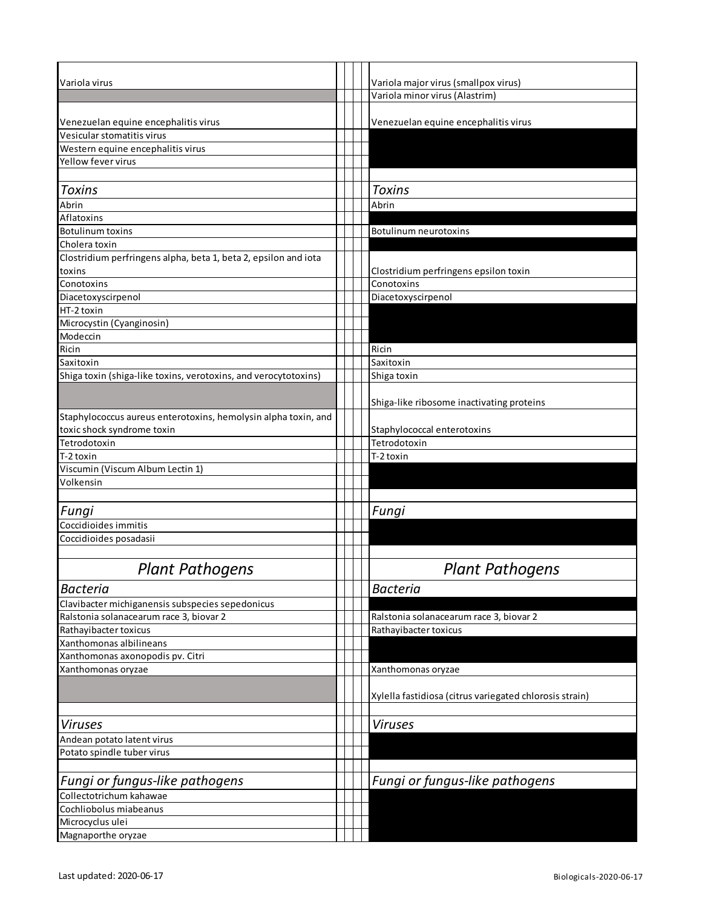| Variola virus                                                   |  | Variola major virus (smallpox virus)                    |
|-----------------------------------------------------------------|--|---------------------------------------------------------|
|                                                                 |  | Variola minor virus (Alastrim)                          |
|                                                                 |  |                                                         |
| Venezuelan equine encephalitis virus                            |  | Venezuelan equine encephalitis virus                    |
| Vesicular stomatitis virus                                      |  |                                                         |
| Western equine encephalitis virus                               |  |                                                         |
| Yellow fever virus                                              |  |                                                         |
|                                                                 |  |                                                         |
| <b>Toxins</b>                                                   |  | <b>Toxins</b>                                           |
| Abrin                                                           |  | Abrin                                                   |
| Aflatoxins                                                      |  |                                                         |
| Botulinum toxins                                                |  | Botulinum neurotoxins                                   |
| Cholera toxin                                                   |  |                                                         |
| Clostridium perfringens alpha, beta 1, beta 2, epsilon and iota |  |                                                         |
| toxins                                                          |  | Clostridium perfringens epsilon toxin                   |
| Conotoxins                                                      |  | Conotoxins                                              |
| Diacetoxyscirpenol                                              |  | Diacetoxyscirpenol                                      |
| HT-2 toxin                                                      |  |                                                         |
| Microcystin (Cyanginosin)                                       |  |                                                         |
| Modeccin                                                        |  |                                                         |
| Ricin                                                           |  | Ricin                                                   |
| Saxitoxin                                                       |  | Saxitoxin                                               |
| Shiga toxin (shiga-like toxins, verotoxins, and verocytotoxins) |  | Shiga toxin                                             |
|                                                                 |  |                                                         |
|                                                                 |  | Shiga-like ribosome inactivating proteins               |
| Staphylococcus aureus enterotoxins, hemolysin alpha toxin, and  |  |                                                         |
| toxic shock syndrome toxin                                      |  | Staphylococcal enterotoxins                             |
| Tetrodotoxin                                                    |  | Tetrodotoxin                                            |
| T-2 toxin                                                       |  | T-2 toxin                                               |
| Viscumin (Viscum Album Lectin 1)                                |  |                                                         |
| Volkensin                                                       |  |                                                         |
|                                                                 |  |                                                         |
| Fungi                                                           |  | Fungi                                                   |
| Coccidioides immitis                                            |  |                                                         |
| Coccidioides posadasii                                          |  |                                                         |
|                                                                 |  |                                                         |
|                                                                 |  |                                                         |
| <b>Plant Pathogens</b>                                          |  | <b>Plant Pathogens</b>                                  |
| <b>Bacteria</b>                                                 |  | <b>Bacteria</b>                                         |
| Clavibacter michiganensis subspecies sepedonicus                |  |                                                         |
| Ralstonia solanacearum race 3, biovar 2                         |  | Ralstonia solanacearum race 3, biovar 2                 |
| Rathayibacter toxicus                                           |  | Rathayibacter toxicus                                   |
| Xanthomonas albilineans                                         |  |                                                         |
| Xanthomonas axonopodis pv. Citri                                |  |                                                         |
| Xanthomonas oryzae                                              |  | Xanthomonas oryzae                                      |
|                                                                 |  |                                                         |
|                                                                 |  | Xylella fastidiosa (citrus variegated chlorosis strain) |
|                                                                 |  |                                                         |
| Viruses                                                         |  | Viruses                                                 |
|                                                                 |  |                                                         |
| Andean potato latent virus<br>Potato spindle tuber virus        |  |                                                         |
|                                                                 |  |                                                         |
|                                                                 |  |                                                         |
| Fungi or fungus-like pathogens                                  |  | Fungi or fungus-like pathogens                          |
| Collectotrichum kahawae                                         |  |                                                         |
| Cochliobolus miabeanus                                          |  |                                                         |
| Microcyclus ulei                                                |  |                                                         |
| Magnaporthe oryzae                                              |  |                                                         |